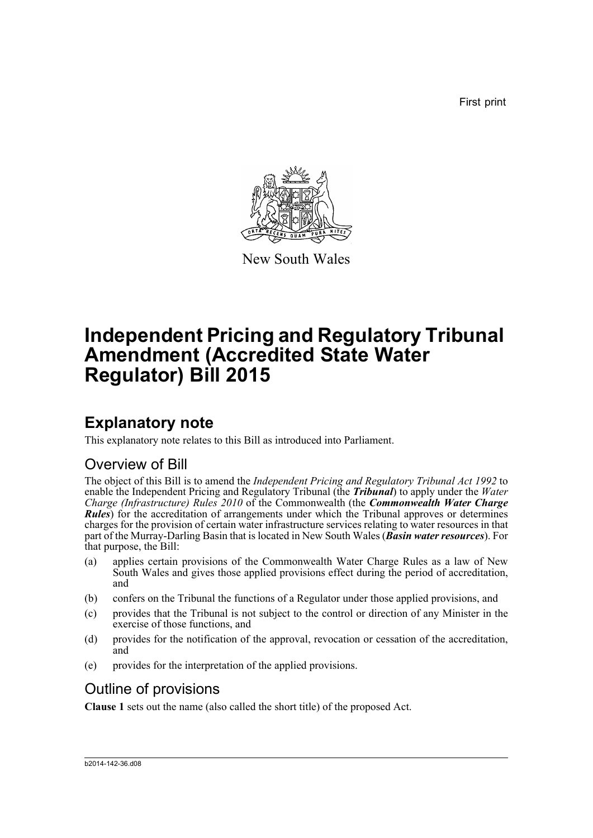First print



New South Wales

# **Independent Pricing and Regulatory Tribunal Amendment (Accredited State Water Regulator) Bill 2015**

## **Explanatory note**

This explanatory note relates to this Bill as introduced into Parliament.

### Overview of Bill

The object of this Bill is to amend the *Independent Pricing and Regulatory Tribunal Act 1992* to enable the Independent Pricing and Regulatory Tribunal (the *Tribunal*) to apply under the *Water Charge (Infrastructure) Rules 2010* of the Commonwealth (the *Commonwealth Water Charge Rules*) for the accreditation of arrangements under which the Tribunal approves or determines charges for the provision of certain water infrastructure services relating to water resources in that part of the Murray-Darling Basin that is located in New South Wales (*Basin water resources*). For that purpose, the Bill:

- (a) applies certain provisions of the Commonwealth Water Charge Rules as a law of New South Wales and gives those applied provisions effect during the period of accreditation, and
- (b) confers on the Tribunal the functions of a Regulator under those applied provisions, and
- (c) provides that the Tribunal is not subject to the control or direction of any Minister in the exercise of those functions, and
- (d) provides for the notification of the approval, revocation or cessation of the accreditation, and
- (e) provides for the interpretation of the applied provisions.

## Outline of provisions

**Clause 1** sets out the name (also called the short title) of the proposed Act.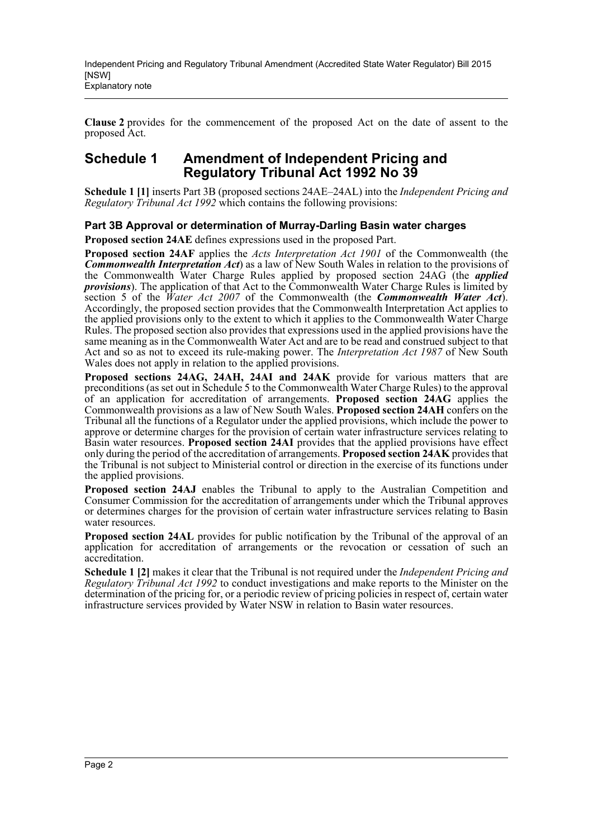**Clause 2** provides for the commencement of the proposed Act on the date of assent to the proposed Act.

### **Schedule 1 Amendment of Independent Pricing and Regulatory Tribunal Act 1992 No 39**

**Schedule 1 [1]** inserts Part 3B (proposed sections 24AE–24AL) into the *Independent Pricing and Regulatory Tribunal Act 1992* which contains the following provisions:

#### **Part 3B Approval or determination of Murray-Darling Basin water charges**

**Proposed section 24AE** defines expressions used in the proposed Part.

**Proposed section 24AF** applies the *Acts Interpretation Act 1901* of the Commonwealth (the *Commonwealth Interpretation Act*) as a law of New South Wales in relation to the provisions of the Commonwealth Water Charge Rules applied by proposed section 24AG (the *applied provisions*). The application of that Act to the Commonwealth Water Charge Rules is limited by section 5 of the *Water Act 2007* of the Commonwealth (the *Commonwealth Water Act*). Accordingly, the proposed section provides that the Commonwealth Interpretation Act applies to the applied provisions only to the extent to which it applies to the Commonwealth Water Charge Rules. The proposed section also provides that expressions used in the applied provisions have the same meaning as in the Commonwealth Water Act and are to be read and construed subject to that Act and so as not to exceed its rule-making power. The *Interpretation Act 1987* of New South Wales does not apply in relation to the applied provisions.

**Proposed sections 24AG, 24AH, 24AI and 24AK** provide for various matters that are preconditions (as set out in Schedule 5 to the Commonwealth Water Charge Rules) to the approval of an application for accreditation of arrangements. **Proposed section 24AG** applies the Commonwealth provisions as a law of New South Wales. **Proposed section 24AH** confers on the Tribunal all the functions of a Regulator under the applied provisions, which include the power to approve or determine charges for the provision of certain water infrastructure services relating to Basin water resources. **Proposed section 24AI** provides that the applied provisions have effect only during the period of the accreditation of arrangements. **Proposed section 24AK** provides that the Tribunal is not subject to Ministerial control or direction in the exercise of its functions under the applied provisions.

**Proposed section 24AJ** enables the Tribunal to apply to the Australian Competition and Consumer Commission for the accreditation of arrangements under which the Tribunal approves or determines charges for the provision of certain water infrastructure services relating to Basin water resources.

**Proposed section 24AL** provides for public notification by the Tribunal of the approval of an application for accreditation of arrangements or the revocation or cessation of such an accreditation.

**Schedule 1 [2]** makes it clear that the Tribunal is not required under the *Independent Pricing and Regulatory Tribunal Act 1992* to conduct investigations and make reports to the Minister on the determination of the pricing for, or a periodic review of pricing policies in respect of, certain water infrastructure services provided by Water NSW in relation to Basin water resources.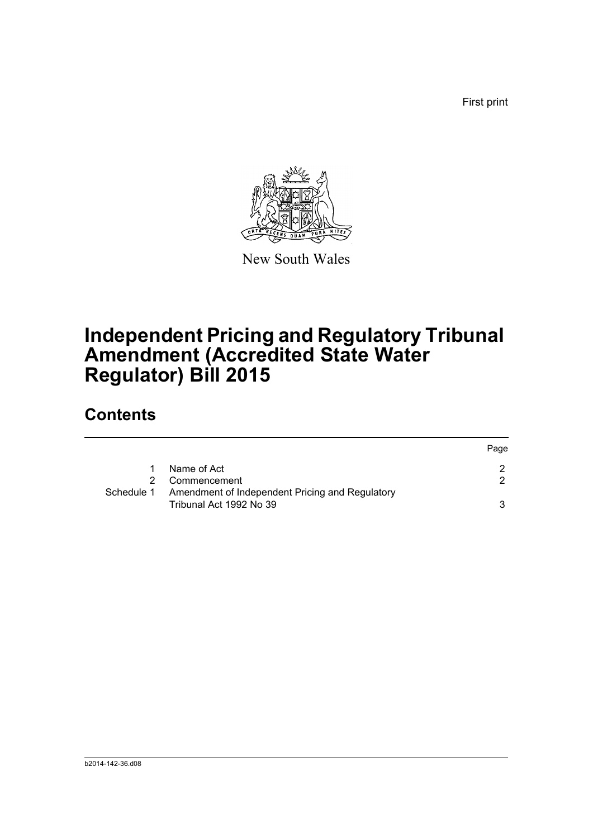First print



New South Wales

# **Independent Pricing and Regulatory Tribunal Amendment (Accredited State Water Regulator) Bill 2015**

## **Contents**

|            |                                                                            | Page |
|------------|----------------------------------------------------------------------------|------|
|            | Name of Act                                                                | -2.  |
|            | Commencement                                                               | 2    |
| Schedule 1 | Amendment of Independent Pricing and Regulatory<br>Tribunal Act 1992 No 39 |      |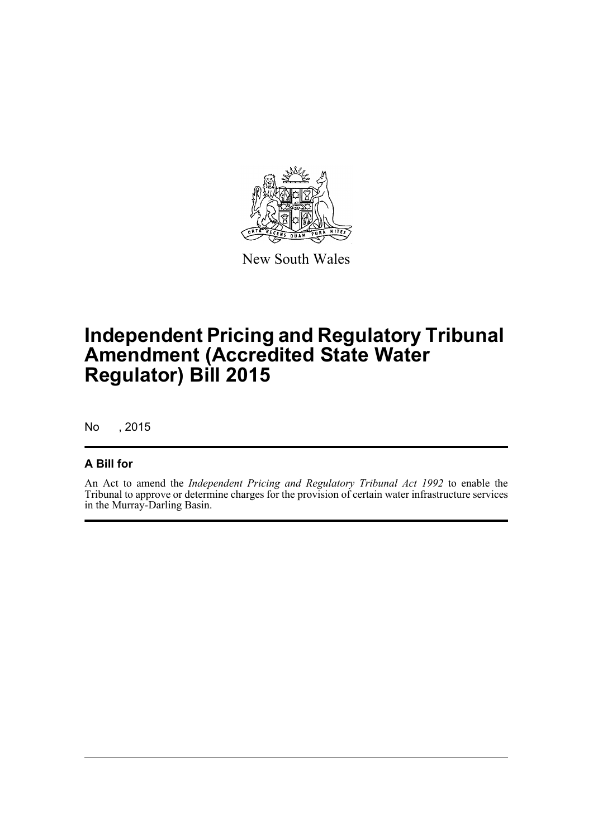

New South Wales

## **Independent Pricing and Regulatory Tribunal Amendment (Accredited State Water Regulator) Bill 2015**

No , 2015

#### **A Bill for**

An Act to amend the *Independent Pricing and Regulatory Tribunal Act 1992* to enable the Tribunal to approve or determine charges for the provision of certain water infrastructure services in the Murray-Darling Basin.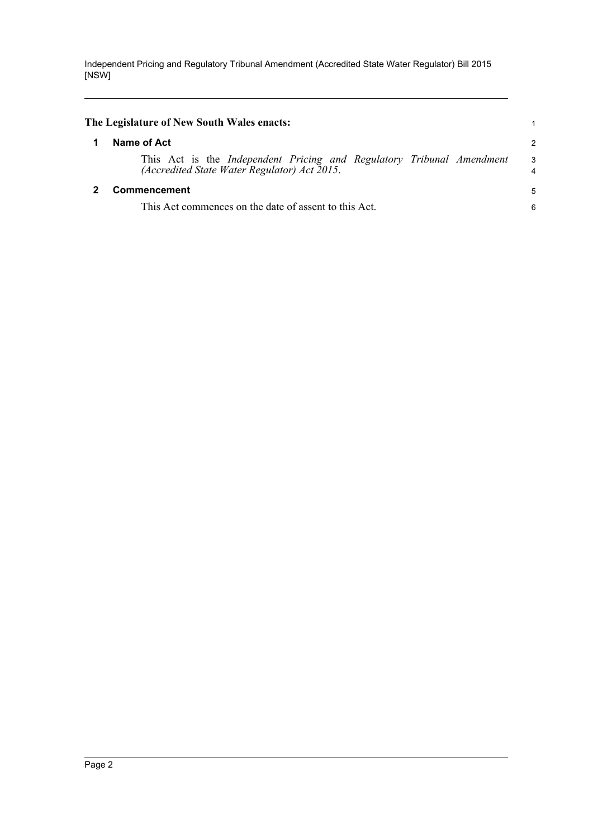Independent Pricing and Regulatory Tribunal Amendment (Accredited State Water Regulator) Bill 2015 [NSW]

<span id="page-4-1"></span><span id="page-4-0"></span>

| The Legislature of New South Wales enacts:                                                                                   |                |
|------------------------------------------------------------------------------------------------------------------------------|----------------|
| Name of Act                                                                                                                  | $\overline{2}$ |
| This Act is the <i>Independent Pricing and Regulatory Tribunal Amendment</i><br>(Accredited State Water Regulator) Act 2015. | 3<br>4         |
| Commencement                                                                                                                 | 5              |
| This Act commences on the date of assent to this Act.                                                                        | 6              |
|                                                                                                                              |                |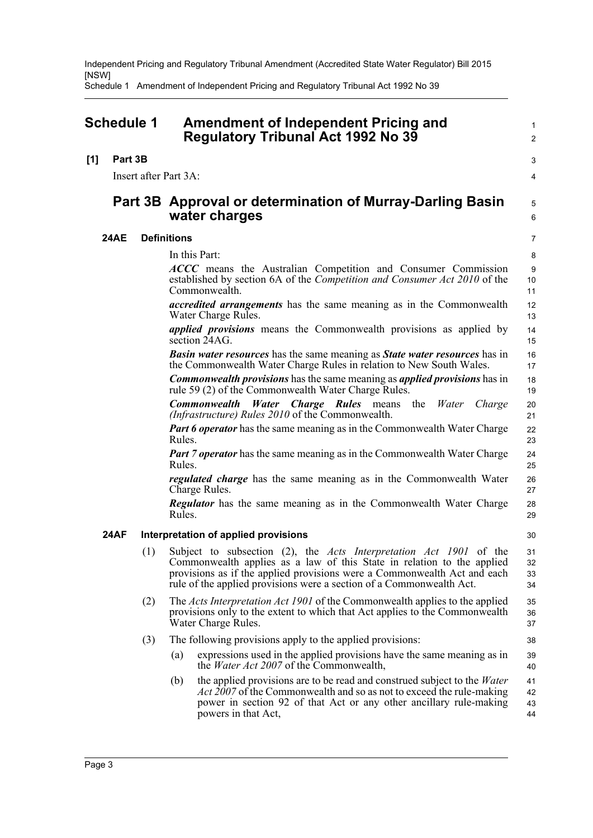Independent Pricing and Regulatory Tribunal Amendment (Accredited State Water Regulator) Bill 2015 [NSW]

Schedule 1 Amendment of Independent Pricing and Regulatory Tribunal Act 1992 No 39

<span id="page-5-0"></span>

| <b>Schedule 1</b>     |             |                    | <b>Amendment of Independent Pricing and</b><br><b>Regulatory Tribunal Act 1992 No 39</b>                                                                                                                                                                                                                | $\mathbf{1}$<br>$\overline{2}$ |
|-----------------------|-------------|--------------------|---------------------------------------------------------------------------------------------------------------------------------------------------------------------------------------------------------------------------------------------------------------------------------------------------------|--------------------------------|
| [1]                   | Part 3B     |                    |                                                                                                                                                                                                                                                                                                         | 3                              |
| Insert after Part 3A: |             |                    |                                                                                                                                                                                                                                                                                                         | 4                              |
|                       |             |                    | Part 3B Approval or determination of Murray-Darling Basin<br>water charges                                                                                                                                                                                                                              | 5<br>6                         |
|                       | <b>24AE</b> | <b>Definitions</b> |                                                                                                                                                                                                                                                                                                         | 7                              |
|                       |             |                    | In this Part:                                                                                                                                                                                                                                                                                           | 8                              |
|                       |             |                    | ACCC means the Australian Competition and Consumer Commission<br>established by section 6A of the Competition and Consumer Act 2010 of the<br>Commonwealth.                                                                                                                                             | 9<br>10<br>11                  |
|                       |             |                    | <i>accredited arrangements</i> has the same meaning as in the Commonwealth<br>Water Charge Rules.                                                                                                                                                                                                       | 12<br>13                       |
|                       |             |                    | <i>applied provisions</i> means the Commonwealth provisions as applied by<br>section 24AG.                                                                                                                                                                                                              | 14<br>15                       |
|                       |             |                    | <b>Basin water resources</b> has the same meaning as <b>State water resources</b> has in<br>the Commonwealth Water Charge Rules in relation to New South Wales.                                                                                                                                         | 16<br>17                       |
|                       |             |                    | <b>Commonwealth provisions</b> has the same meaning as <i>applied provisions</i> has in<br>rule 59 (2) of the Commonwealth Water Charge Rules.                                                                                                                                                          | 18<br>19                       |
|                       |             |                    | <b>Commonwealth Water Charge Rules</b> means<br>the<br>Water<br>Charge<br>(Infrastructure) Rules 2010 of the Commonwealth.                                                                                                                                                                              | 20<br>21                       |
|                       |             |                    | <b>Part 6 operator</b> has the same meaning as in the Commonwealth Water Charge<br>Rules.                                                                                                                                                                                                               | 22<br>23                       |
|                       |             |                    | <b>Part 7 operator</b> has the same meaning as in the Commonwealth Water Charge<br>Rules.                                                                                                                                                                                                               | 24<br>25                       |
|                       |             |                    | <i>regulated charge</i> has the same meaning as in the Commonwealth Water<br>Charge Rules.                                                                                                                                                                                                              | 26<br>27                       |
|                       |             |                    | <b>Regulator</b> has the same meaning as in the Commonwealth Water Charge<br>Rules.                                                                                                                                                                                                                     | 28<br>29                       |
|                       | <b>24AF</b> |                    | Interpretation of applied provisions                                                                                                                                                                                                                                                                    | 30                             |
|                       |             | (1)                | Subject to subsection (2), the <i>Acts Interpretation Act 1901</i> of the<br>Commonwealth applies as a law of this State in relation to the applied<br>provisions as if the applied provisions were a Commonwealth Act and each<br>rule of the applied provisions were a section of a Commonwealth Act. | 31<br>32<br>33<br>34           |
|                       |             | (2)                | The Acts Interpretation Act 1901 of the Commonwealth applies to the applied<br>provisions only to the extent to which that Act applies to the Commonwealth<br>Water Charge Rules.                                                                                                                       | 35<br>36<br>37                 |
|                       |             | (3)                | The following provisions apply to the applied provisions:                                                                                                                                                                                                                                               | 38                             |
|                       |             |                    | expressions used in the applied provisions have the same meaning as in<br>(a)<br>the <i>Water Act 2007</i> of the Commonwealth,                                                                                                                                                                         | 39<br>40                       |
|                       |             |                    | the applied provisions are to be read and construed subject to the <i>Water</i><br>(b)<br><i>Act 2007</i> of the Commonwealth and so as not to exceed the rule-making<br>power in section 92 of that Act or any other ancillary rule-making<br>powers in that Act,                                      | 41<br>42<br>43<br>44           |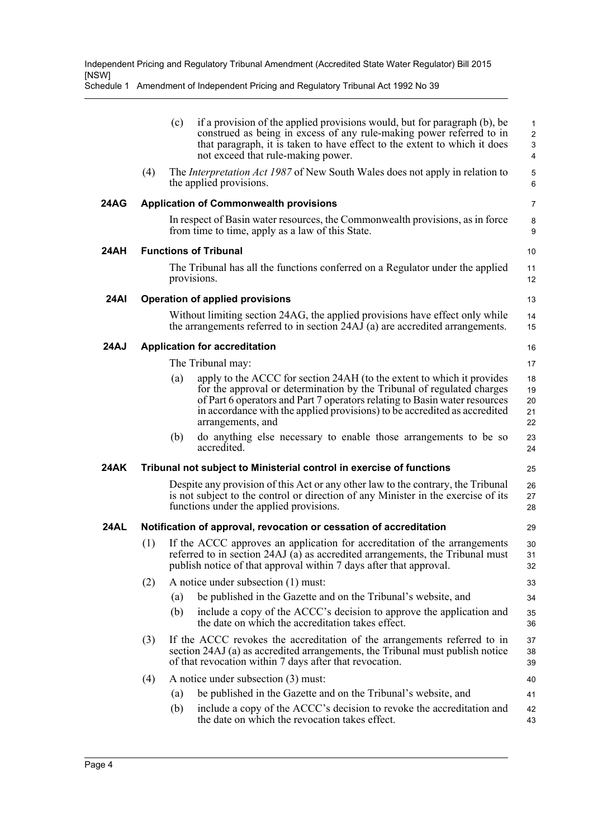Schedule 1 Amendment of Independent Pricing and Regulatory Tribunal Act 1992 No 39

|             |                                                                                                                                                                                                                             | (c)                          | if a provision of the applied provisions would, but for paragraph (b), be<br>construed as being in excess of any rule-making power referred to in<br>that paragraph, it is taken to have effect to the extent to which it does<br>not exceed that rule-making power.                                                             | 1<br>$\overline{\mathbf{c}}$<br>3<br>4 |  |
|-------------|-----------------------------------------------------------------------------------------------------------------------------------------------------------------------------------------------------------------------------|------------------------------|----------------------------------------------------------------------------------------------------------------------------------------------------------------------------------------------------------------------------------------------------------------------------------------------------------------------------------|----------------------------------------|--|
|             | (4)                                                                                                                                                                                                                         |                              | The <i>Interpretation Act 1987</i> of New South Wales does not apply in relation to<br>the applied provisions.                                                                                                                                                                                                                   | 5<br>6                                 |  |
| 24AG        | <b>Application of Commonwealth provisions</b>                                                                                                                                                                               |                              |                                                                                                                                                                                                                                                                                                                                  | 7                                      |  |
|             |                                                                                                                                                                                                                             |                              | In respect of Basin water resources, the Commonwealth provisions, as in force<br>from time to time, apply as a law of this State.                                                                                                                                                                                                | 8<br>9                                 |  |
| 24AH        |                                                                                                                                                                                                                             | <b>Functions of Tribunal</b> |                                                                                                                                                                                                                                                                                                                                  |                                        |  |
|             |                                                                                                                                                                                                                             |                              | The Tribunal has all the functions conferred on a Regulator under the applied<br>provisions.                                                                                                                                                                                                                                     | 11<br>12                               |  |
| <b>24AI</b> |                                                                                                                                                                                                                             |                              | <b>Operation of applied provisions</b>                                                                                                                                                                                                                                                                                           | 13                                     |  |
|             |                                                                                                                                                                                                                             |                              | Without limiting section 24AG, the applied provisions have effect only while<br>the arrangements referred to in section 24AJ (a) are accredited arrangements.                                                                                                                                                                    | 14<br>15                               |  |
| <b>24AJ</b> |                                                                                                                                                                                                                             |                              | <b>Application for accreditation</b>                                                                                                                                                                                                                                                                                             | 16                                     |  |
|             |                                                                                                                                                                                                                             |                              | The Tribunal may:                                                                                                                                                                                                                                                                                                                | 17                                     |  |
|             |                                                                                                                                                                                                                             | (a)                          | apply to the ACCC for section 24AH (to the extent to which it provides<br>for the approval or determination by the Tribunal of regulated charges<br>of Part 6 operators and Part 7 operators relating to Basin water resources<br>in accordance with the applied provisions) to be accredited as accredited<br>arrangements, and | 18<br>19<br>20<br>21<br>22             |  |
|             |                                                                                                                                                                                                                             | (b)                          | do anything else necessary to enable those arrangements to be so<br>accredited.                                                                                                                                                                                                                                                  | 23<br>24                               |  |
| 24AK        | Tribunal not subject to Ministerial control in exercise of functions                                                                                                                                                        |                              |                                                                                                                                                                                                                                                                                                                                  |                                        |  |
|             |                                                                                                                                                                                                                             |                              | Despite any provision of this Act or any other law to the contrary, the Tribunal<br>is not subject to the control or direction of any Minister in the exercise of its<br>functions under the applied provisions.                                                                                                                 | 26<br>27<br>28                         |  |
| <b>24AL</b> |                                                                                                                                                                                                                             |                              | Notification of approval, revocation or cessation of accreditation                                                                                                                                                                                                                                                               | 29                                     |  |
|             | (1)                                                                                                                                                                                                                         |                              | If the ACCC approves an application for accreditation of the arrangements<br>referred to in section 24AJ (a) as accredited arrangements, the Tribunal must<br>publish notice of that approval within 7 days after that approval.                                                                                                 | 30<br>31<br>32                         |  |
|             | (2)                                                                                                                                                                                                                         |                              | A notice under subsection (1) must:                                                                                                                                                                                                                                                                                              | 33                                     |  |
|             |                                                                                                                                                                                                                             | (a)                          | be published in the Gazette and on the Tribunal's website, and                                                                                                                                                                                                                                                                   | 34                                     |  |
|             |                                                                                                                                                                                                                             | (b)                          | include a copy of the ACCC's decision to approve the application and<br>the date on which the accreditation takes effect.                                                                                                                                                                                                        | 35<br>36                               |  |
|             | (3)<br>If the ACCC revokes the accreditation of the arrangements referred to in<br>section 24AJ (a) as accredited arrangements, the Tribunal must publish notice<br>of that revocation within 7 days after that revocation. |                              |                                                                                                                                                                                                                                                                                                                                  |                                        |  |
|             | (4)                                                                                                                                                                                                                         |                              | A notice under subsection (3) must:                                                                                                                                                                                                                                                                                              | 40                                     |  |
|             |                                                                                                                                                                                                                             | (a)                          | be published in the Gazette and on the Tribunal's website, and                                                                                                                                                                                                                                                                   | 41                                     |  |
|             |                                                                                                                                                                                                                             | (b)                          | include a copy of the ACCC's decision to revoke the accreditation and<br>the date on which the revocation takes effect.                                                                                                                                                                                                          | 42<br>43                               |  |